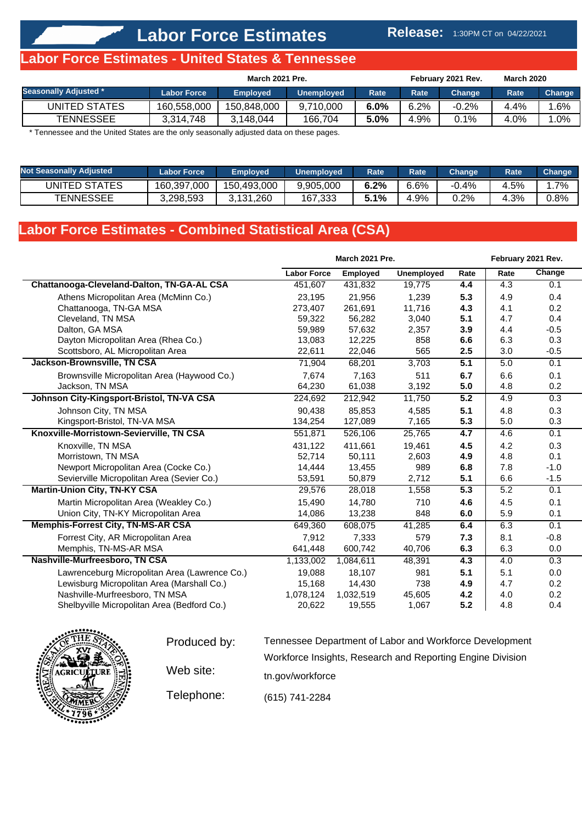#### **Release:** 1:30PM CT on 04/22/2021

## **Labor Force Estimates - United States & Tennessee**

|                              | March 2021 Pre.    |                 |                   |             | <b>March 2020</b><br>February 2021 Rev. |                     |      |        |
|------------------------------|--------------------|-----------------|-------------------|-------------|-----------------------------------------|---------------------|------|--------|
| <b>Seasonally Adjusted *</b> | <b>Labor Force</b> | <b>Employed</b> | <b>Unemployed</b> | <b>Rate</b> | Rate                                    | Change <sup>।</sup> | Rate | Change |
| UNITED STATES                | 160,558,000        | 150,848,000     | 9.710.000         | 6.0%        | 6.2%                                    | $-0.2%$             | 4.4% | .6%    |
| <b>TENNESSEE</b>             | 3.314.748          | 3.148.044       | 166.704           | 5.0%        | 4.9%                                    | 0.1%                | 4.0% | $.0\%$ |

\* Tennessee and the United States are the only seasonally adjusted data on these pages.

| <b>Not Seasonally Adjusted</b> | <b>Labor Force</b> | <b>Emploved</b> | <b>Unemployed</b> | Rate | <b>Rate</b> | Change  | Rate | <b>Change</b> |
|--------------------------------|--------------------|-----------------|-------------------|------|-------------|---------|------|---------------|
| UNITED STATES                  | 160,397,000        | 150,493,000     | 9,905,000         | 6.2% | 6.6%        | -0.4%   | 4.5% | $1.7\%$       |
| <b>TENNESSEE</b>               | 3,298,593          | 3,131,260       | 167,333           | 1%   | +.9%        | $0.2\%$ | 4.3% | 0.8%          |

# **Labor Force Estimates - Combined Statistical Area (CSA)**

|                                               |                    | March 2021 Pre. |            |      |      | February 2021 Rev. |
|-----------------------------------------------|--------------------|-----------------|------------|------|------|--------------------|
|                                               | <b>Labor Force</b> | <b>Employed</b> | Unemployed | Rate | Rate | Change             |
| Chattanooga-Cleveland-Dalton, TN-GA-AL CSA    | 451,607            | 431,832         | 19,775     | 4.4  | 4.3  | 0.1                |
| Athens Micropolitan Area (McMinn Co.)         | 23,195             | 21,956          | 1,239      | 5.3  | 4.9  | 0.4                |
| Chattanooga, TN-GA MSA                        | 273,407            | 261,691         | 11,716     | 4.3  | 4.1  | 0.2                |
| Cleveland, TN MSA                             | 59,322             | 56,282          | 3,040      | 5.1  | 4.7  | 0.4                |
| Dalton, GA MSA                                | 59,989             | 57,632          | 2,357      | 3.9  | 4.4  | $-0.5$             |
| Dayton Micropolitan Area (Rhea Co.)           | 13,083             | 12,225          | 858        | 6.6  | 6.3  | 0.3                |
| Scottsboro, AL Micropolitan Area              | 22,611             | 22,046          | 565        | 2.5  | 3.0  | $-0.5$             |
| Jackson-Brownsville, TN CSA                   | 71,904             | 68,201          | 3,703      | 5.1  | 5.0  | 0.1                |
| Brownsville Micropolitan Area (Haywood Co.)   | 7,674              | 7,163           | 511        | 6.7  | 6.6  | 0.1                |
| Jackson, TN MSA                               | 64,230             | 61,038          | 3,192      | 5.0  | 4.8  | 0.2                |
| Johnson City-Kingsport-Bristol, TN-VA CSA     | 224,692            | 212,942         | 11,750     | 5.2  | 4.9  | 0.3                |
| Johnson City, TN MSA                          | 90,438             | 85,853          | 4,585      | 5.1  | 4.8  | 0.3                |
| Kingsport-Bristol, TN-VA MSA                  | 134,254            | 127,089         | 7,165      | 5.3  | 5.0  | 0.3                |
| Knoxville-Morristown-Sevierville, TN CSA      | 551,871            | 526,106         | 25,765     | 4.7  | 4.6  | 0.1                |
| Knoxville, TN MSA                             | 431,122            | 411,661         | 19,461     | 4.5  | 4.2  | 0.3                |
| Morristown, TN MSA                            | 52,714             | 50,111          | 2,603      | 4.9  | 4.8  | 0.1                |
| Newport Micropolitan Area (Cocke Co.)         | 14,444             | 13,455          | 989        | 6.8  | 7.8  | $-1.0$             |
| Sevierville Micropolitan Area (Sevier Co.)    | 53,591             | 50,879          | 2,712      | 5.1  | 6.6  | $-1.5$             |
| <b>Martin-Union City, TN-KY CSA</b>           | 29,576             | 28,018          | 1,558      | 5.3  | 5.2  | 0.1                |
| Martin Micropolitan Area (Weakley Co.)        | 15,490             | 14,780          | 710        | 4.6  | 4.5  | 0.1                |
| Union City, TN-KY Micropolitan Area           | 14,086             | 13,238          | 848        | 6.0  | 5.9  | 0.1                |
| <b>Memphis-Forrest City, TN-MS-AR CSA</b>     | 649,360            | 608,075         | 41,285     | 6.4  | 6.3  | 0.1                |
| Forrest City, AR Micropolitan Area            | 7,912              | 7,333           | 579        | 7.3  | 8.1  | $-0.8$             |
| Memphis, TN-MS-AR MSA                         | 641,448            | 600,742         | 40,706     | 6.3  | 6.3  | 0.0                |
| Nashville-Murfreesboro, TN CSA                | 1,133,002          | 1,084,611       | 48,391     | 4.3  | 4.0  | 0.3                |
| Lawrenceburg Micropolitan Area (Lawrence Co.) | 19.088             | 18,107          | 981        | 5.1  | 5.1  | 0.0                |
| Lewisburg Micropolitan Area (Marshall Co.)    | 15,168             | 14,430          | 738        | 4.9  | 4.7  | 0.2                |
| Nashville-Murfreesboro, TN MSA                | 1,078,124          | 1,032,519       | 45,605     | 4.2  | 4.0  | 0.2                |
| Shelbyville Micropolitan Area (Bedford Co.)   | 20,622             | 19,555          | 1,067      | 5.2  | 4.8  | 0.4                |



| Produced by: | Tennessee Department of Labor and Workforce Development    |  |  |  |  |  |  |  |  |
|--------------|------------------------------------------------------------|--|--|--|--|--|--|--|--|
|              | Workforce Insights, Research and Reporting Engine Division |  |  |  |  |  |  |  |  |
| Web site:    | tn.gov/workforce                                           |  |  |  |  |  |  |  |  |
| Telephone:   | (615) 741-2284                                             |  |  |  |  |  |  |  |  |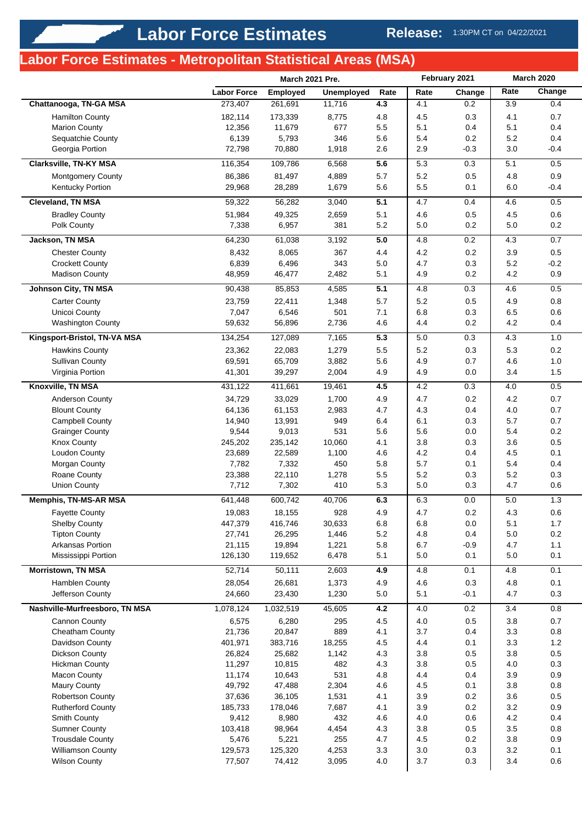# **Labor Force Estimates - Metropolitan Statistical Areas (MSA)**

|                                          |                    | March 2021 Pre.  |                   | February 2021 |            | <b>March 2020</b> |                |            |
|------------------------------------------|--------------------|------------------|-------------------|---------------|------------|-------------------|----------------|------------|
|                                          | <b>Labor Force</b> | <b>Employed</b>  | <b>Unemployed</b> | Rate          | Rate       | Change            | Rate           | Change     |
| Chattanooga, TN-GA MSA                   | 273,407            | 261,691          | 11,716            | 4.3           | 4.1        | 0.2               | 3.9            | 0.4        |
| <b>Hamilton County</b>                   | 182,114            | 173,339          | 8,775             | 4.8           | 4.5        | 0.3               | 4.1            | 0.7        |
| <b>Marion County</b>                     | 12,356             | 11,679           | 677               | 5.5           | 5.1        | 0.4               | 5.1            | 0.4        |
| Sequatchie County                        | 6,139              | 5,793            | 346               | 5.6           | 5.4        | 0.2               | 5.2            | 0.4        |
| Georgia Portion                          | 72,798             | 70,880           | 1,918             | 2.6           | 2.9        | $-0.3$            | 3.0            | $-0.4$     |
| Clarksville, TN-KY MSA                   | 116,354            | 109,786          | 6,568             | 5.6           | 5.3        | 0.3               | 5.1            | 0.5        |
| <b>Montgomery County</b>                 | 86,386             | 81,497           | 4,889             | 5.7           | 5.2        | 0.5               | 4.8            | 0.9        |
| Kentucky Portion                         | 29,968             | 28,289           | 1,679             | 5.6           | 5.5        | 0.1               | 6.0            | $-0.4$     |
| <b>Cleveland, TN MSA</b>                 | 59,322             | 56,282           | 3,040             | 5.1           | 4.7        | 0.4               | 4.6            | 0.5        |
| <b>Bradley County</b>                    | 51,984             | 49,325           | 2,659             | 5.1           | 4.6        | 0.5               | 4.5            | 0.6        |
| Polk County                              | 7,338              | 6,957            | 381               | 5.2           | 5.0        | 0.2               | $5.0\,$        | $0.2\,$    |
| <b>Jackson, TN MSA</b>                   | 64,230             | 61,038           | 3,192             | 5.0           | 4.8        | 0.2               | 4.3            | 0.7        |
| <b>Chester County</b>                    | 8,432              | 8,065            | 367               | 4.4           | 4.2        | 0.2               | 3.9            | 0.5        |
| <b>Crockett County</b>                   | 6,839              | 6,496            | 343               | 5.0           | 4.7        | 0.3               | 5.2            | $-0.2$     |
| <b>Madison County</b>                    | 48,959             | 46,477           | 2,482             | 5.1           | 4.9        | 0.2               | 4.2            | 0.9        |
| <b>Johnson City, TN MSA</b>              | 90,438             | 85,853           | 4,585             | 5.1           | 4.8        | 0.3               | 4.6            | 0.5        |
| <b>Carter County</b>                     | 23,759             | 22,411           | 1,348             | 5.7           | 5.2        | 0.5               | 4.9            | 0.8        |
| Unicoi County                            | 7,047              | 6,546            | 501               | 7.1           | 6.8        | 0.3               | 6.5            | 0.6        |
| <b>Washington County</b>                 | 59,632             | 56,896           | 2,736             | 4.6           | 4.4        | 0.2               | 4.2            | 0.4        |
| Kingsport-Bristol, TN-VA MSA             | 134,254            | 127,089          | 7,165             | 5.3           | 5.0        | 0.3               | 4.3            | 1.0        |
| <b>Hawkins County</b>                    | 23,362             | 22,083           | 1,279             | 5.5           | 5.2        | 0.3               | 5.3            | 0.2        |
| <b>Sullivan County</b>                   | 69,591             | 65,709           | 3,882             | 5.6           | 4.9        | 0.7               | 4.6            | 1.0        |
| Virginia Portion                         | 41,301             | 39,297           | 2,004             | 4.9           | 4.9        | 0.0               | 3.4            | 1.5        |
| Knoxville, TN MSA                        | 431,122            | 411,661          | 19,461            | 4.5           | 4.2        | 0.3               | 4.0            | 0.5        |
| Anderson County                          | 34,729             | 33,029           | 1,700             | 4.9           | 4.7        | 0.2               | 4.2            | 0.7        |
| <b>Blount County</b>                     | 64,136             | 61,153           | 2,983             | 4.7           | 4.3        | 0.4               | 4.0            | 0.7        |
| <b>Campbell County</b>                   | 14,940             | 13,991           | 949               | 6.4           | 6.1        | 0.3               | 5.7            | 0.7        |
| <b>Grainger County</b>                   | 9,544              | 9,013            | 531               | 5.6           | 5.6        | 0.0               | 5.4            | 0.2        |
| <b>Knox County</b>                       | 245,202            | 235,142          | 10,060            | 4.1           | 3.8        | 0.3               | 3.6            | 0.5        |
| <b>Loudon County</b>                     | 23,689             | 22,589           | 1,100             | 4.6           | 4.2        | 0.4               | 4.5            | 0.1        |
| Morgan County                            | 7,782              | 7,332            | 450               | 5.8           | 5.7        | 0.1               | 5.4            | 0.4        |
| Roane County                             | 23,388             | 22,110           | 1,278             | 5.5           | 5.2        | 0.3               | 5.2            | 0.3        |
| <b>Union County</b>                      | 7,712              | 7,302            | 410               | 5.3           | 5.0        | 0.3               | 4.7            | 0.6        |
| <b>Memphis, TN-MS-AR MSA</b>             | 641,448            | 600,742          | 40.706            | 6.3           | 6.3        | 0.0               | 5.0            | 1.3        |
| <b>Fayette County</b>                    | 19,083             | 18,155           | 928               | 4.9           | 4.7        | $0.2\,$           | 4.3            | $0.6\,$    |
| <b>Shelby County</b>                     | 447,379            | 416,746          | 30,633            | 6.8           | 6.8        | 0.0               | 5.1            | 1.7        |
| <b>Tipton County</b>                     | 27,741             | 26,295           | 1,446             | $5.2\,$       | 4.8        | 0.4               | $5.0\,$        | 0.2        |
| Arkansas Portion                         | 21,115             | 19,894           | 1,221             | 5.8           | 6.7        | $-0.9$            | 4.7            | 1.1        |
| Mississippi Portion                      | 126,130            | 119,652          | 6,478             | 5.1           | 5.0        | 0.1               | 5.0            | 0.1        |
| <b>Morristown, TN MSA</b>                | 52,714             | 50,111           | 2,603             | 4.9           | 4.8        | 0.1               | 4.8            | 0.1        |
| Hamblen County                           | 28,054             | 26,681           | 1,373             | 4.9           | 4.6        | 0.3               | 4.8            | 0.1        |
| Jefferson County                         | 24,660             | 23,430           | 1,230             | 5.0           | 5.1        | $-0.1$            | 4.7            | 0.3        |
| Nashville-Murfreesboro, TN MSA           | 1,078,124          | 1,032,519        | 45,605            | 4.2           | 4.0        | 0.2               | 3.4            | 0.8        |
| <b>Cannon County</b>                     | 6,575              | 6,280            | 295               | 4.5           | 4.0        | $0.5\,$           | 3.8            | 0.7        |
| Cheatham County                          | 21,736             | 20,847           | 889               | 4.1           | 3.7        | 0.4               | 3.3            | 0.8        |
| Davidson County                          | 401,971            | 383,716          | 18,255            | 4.5           | 4.4        | 0.1               | 3.3            | 1.2        |
| <b>Dickson County</b>                    | 26,824             | 25,682           | 1,142             | 4.3           | 3.8        | 0.5               | 3.8            | 0.5        |
| <b>Hickman County</b>                    | 11,297             | 10,815           | 482               | 4.3           | 3.8        | 0.5               | 4.0            | 0.3        |
| <b>Macon County</b>                      | 11,174             | 10,643           | 531               | 4.8           | 4.4        | 0.4               | 3.9            | 0.9        |
| Maury County                             | 49,792             | 47,488           | 2,304             | 4.6           | 4.5        | 0.1               | 3.8            | 0.8        |
| Robertson County                         | 37,636             | 36,105           | 1,531             | 4.1           | 3.9        | 0.2               | 3.6            | 0.5        |
| <b>Rutherford County</b><br>Smith County | 185,733<br>9,412   | 178,046<br>8,980 | 7,687<br>432      | 4.1<br>4.6    | 3.9<br>4.0 | $0.2\,$<br>0.6    | $3.2\,$<br>4.2 | 0.9<br>0.4 |
| <b>Sumner County</b>                     | 103,418            | 98,964           | 4,454             | 4.3           | 3.8        | 0.5               | 3.5            | 0.8        |
| <b>Trousdale County</b>                  | 5,476              | 5,221            | 255               | 4.7           | 4.5        | 0.2               | $3.8\,$        | 0.9        |
| <b>Williamson County</b>                 | 129,573            | 125,320          | 4,253             | 3.3           | 3.0        | 0.3               | 3.2            | 0.1        |
| <b>Wilson County</b>                     | 77,507             | 74,412           | 3,095             | 4.0           | 3.7        | 0.3               | 3.4            | 0.6        |
|                                          |                    |                  |                   |               |            |                   |                |            |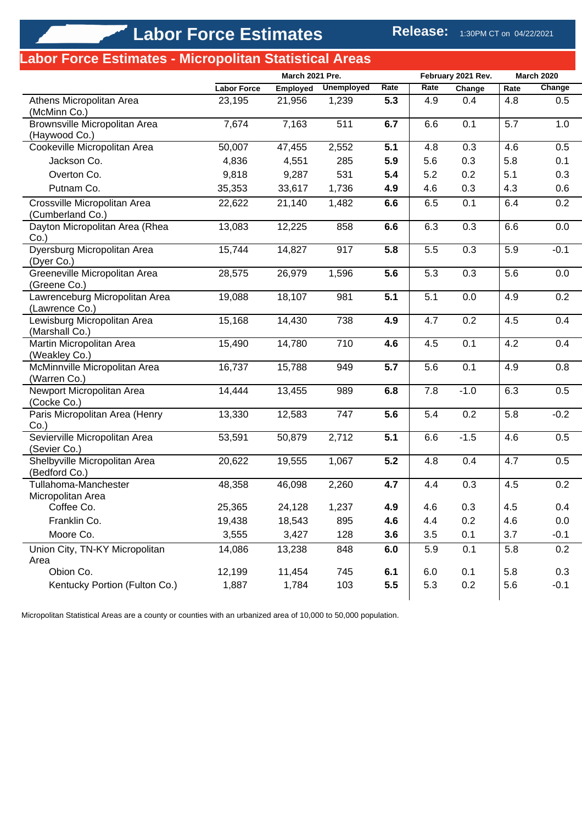# **Labor Force Estimates - Micropolitan Statistical Areas**

|                                                  |                    | March 2021 Pre. |                   |      | February 2021 Rev. |        | <b>March 2020</b> |        |
|--------------------------------------------------|--------------------|-----------------|-------------------|------|--------------------|--------|-------------------|--------|
|                                                  | <b>Labor Force</b> | <b>Employed</b> | <b>Unemployed</b> | Rate | Rate               | Change | Rate              | Change |
| Athens Micropolitan Area<br>(McMinn Co.)         | 23,195             | 21,956          | 1,239             | 5.3  | 4.9                | 0.4    | 4.8               | 0.5    |
| Brownsville Micropolitan Area<br>(Haywood Co.)   | 7,674              | 7,163           | 511               | 6.7  | 6.6                | 0.1    | 5.7               | 1.0    |
| Cookeville Micropolitan Area                     | 50,007             | 47,455          | 2,552             | 5.1  | 4.8                | 0.3    | 4.6               | 0.5    |
| Jackson Co.                                      | 4,836              | 4,551           | 285               | 5.9  | 5.6                | 0.3    | 5.8               | 0.1    |
| Overton Co.                                      | 9,818              | 9,287           | 531               | 5.4  | 5.2                | 0.2    | 5.1               | 0.3    |
| Putnam Co.                                       | 35,353             | 33,617          | 1,736             | 4.9  | 4.6                | 0.3    | 4.3               | 0.6    |
| Crossville Micropolitan Area<br>(Cumberland Co.) | 22,622             | 21,140          | 1,482             | 6.6  | 6.5                | 0.1    | 6.4               | 0.2    |
| Dayton Micropolitan Area (Rhea<br>$Co.$ )        | 13,083             | 12,225          | 858               | 6.6  | 6.3                | 0.3    | 6.6               | 0.0    |
| Dyersburg Micropolitan Area<br>(Dyer Co.)        | 15,744             | 14,827          | 917               | 5.8  | 5.5                | 0.3    | 5.9               | $-0.1$ |
| Greeneville Micropolitan Area<br>(Greene Co.)    | 28,575             | 26,979          | 1,596             | 5.6  | 5.3                | 0.3    | 5.6               | 0.0    |
| Lawrenceburg Micropolitan Area<br>(Lawrence Co.) | 19,088             | 18,107          | 981               | 5.1  | 5.1                | 0.0    | 4.9               | 0.2    |
| Lewisburg Micropolitan Area<br>(Marshall Co.)    | 15,168             | 14,430          | 738               | 4.9  | 4.7                | 0.2    | 4.5               | 0.4    |
| Martin Micropolitan Area<br>(Weakley Co.)        | 15,490             | 14,780          | 710               | 4.6  | 4.5                | 0.1    | 4.2               | 0.4    |
| McMinnville Micropolitan Area<br>(Warren Co.)    | 16,737             | 15,788          | 949               | 5.7  | 5.6                | 0.1    | 4.9               | 0.8    |
| Newport Micropolitan Area<br>(Cocke Co.)         | 14,444             | 13,455          | 989               | 6.8  | 7.8                | $-1.0$ | 6.3               | 0.5    |
| Paris Micropolitan Area (Henry<br>$Co.$ )        | 13,330             | 12,583          | 747               | 5.6  | 5.4                | 0.2    | 5.8               | $-0.2$ |
| Sevierville Micropolitan Area<br>(Sevier Co.)    | 53,591             | 50,879          | 2,712             | 5.1  | 6.6                | $-1.5$ | 4.6               | 0.5    |
| Shelbyville Micropolitan Area<br>(Bedford Co.)   | 20,622             | 19,555          | 1,067             | 5.2  | 4.8                | 0.4    | 4.7               | 0.5    |
| Tullahoma-Manchester<br>Micropolitan Area        | 48,358             | 46,098          | 2,260             | 4.7  | 4.4                | 0.3    | 4.5               | 0.2    |
| Coffee Co.                                       | 25,365             | 24,128          | 1,237             | 4.9  | 4.6                | 0.3    | 4.5               | 0.4    |
| Franklin Co.                                     | 19,438             | 18,543          | 895               | 4.6  | 4.4                | 0.2    | 4.6               | 0.0    |
| Moore Co.                                        | 3,555              | 3,427           | 128               | 3.6  | 3.5                | 0.1    | 3.7               | $-0.1$ |
| Union City, TN-KY Micropolitan<br>Area           | 14,086             | 13,238          | 848               | 6.0  | 5.9                | 0.1    | 5.8               | 0.2    |
| Obion Co.                                        | 12,199             | 11,454          | 745               | 6.1  | 6.0                | 0.1    | 5.8               | 0.3    |
| Kentucky Portion (Fulton Co.)                    | 1,887              | 1,784           | 103               | 5.5  | 5.3                | 0.2    | 5.6               | $-0.1$ |

Micropolitan Statistical Areas are a county or counties with an urbanized area of 10,000 to 50,000 population.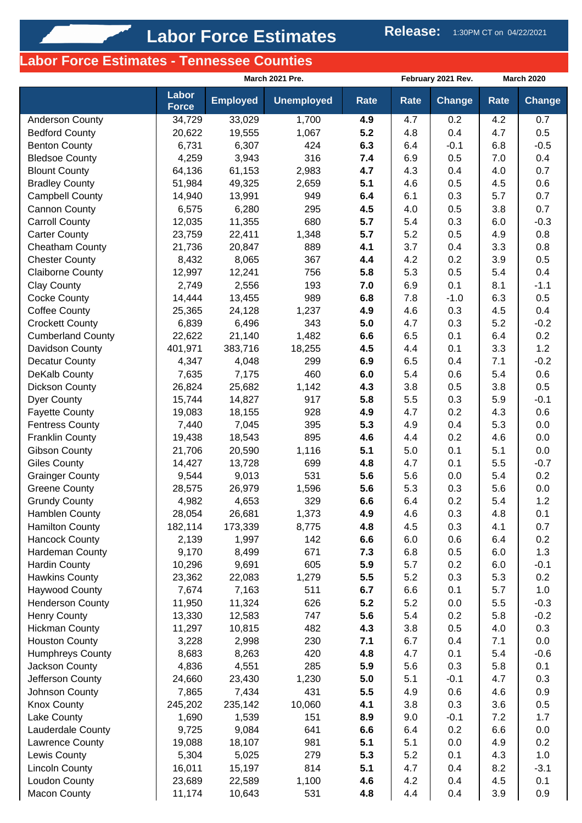# **Labor Force Estimates - Tennessee Counties**

|                                           | March 2021 Pre.       |                 |                   |             |             | February 2021 Rev. | <b>March 2020</b> |               |
|-------------------------------------------|-----------------------|-----------------|-------------------|-------------|-------------|--------------------|-------------------|---------------|
|                                           | Labor<br><b>Force</b> | <b>Employed</b> | <b>Unemployed</b> | <b>Rate</b> | <b>Rate</b> | <b>Change</b>      | Rate              | <b>Change</b> |
| Anderson County                           | 34,729                | 33,029          | 1,700             | 4.9         | 4.7         | 0.2                | 4.2               | 0.7           |
| <b>Bedford County</b>                     | 20,622                | 19,555          | 1,067             | 5.2         | 4.8         | 0.4                | 4.7               | 0.5           |
| <b>Benton County</b>                      | 6,731                 | 6,307           | 424               | 6.3         | 6.4         | $-0.1$             | 6.8               | $-0.5$        |
| <b>Bledsoe County</b>                     | 4,259                 | 3,943           | 316               | 7.4         | 6.9         | 0.5                | 7.0               | 0.4           |
| <b>Blount County</b>                      | 64,136                | 61,153          | 2,983             | 4.7         | 4.3         | 0.4                | 4.0               | 0.7           |
| <b>Bradley County</b>                     | 51,984                | 49,325          | 2,659             | 5.1         | 4.6         | 0.5                | 4.5               | 0.6           |
| <b>Campbell County</b>                    | 14,940                | 13,991          | 949               | 6.4         | 6.1         | 0.3                | 5.7               | 0.7           |
| <b>Cannon County</b>                      | 6,575                 | 6,280           | 295               | 4.5         | 4.0         | 0.5                | 3.8               | 0.7           |
| <b>Carroll County</b>                     | 12,035                | 11,355          | 680               | 5.7         | 5.4         | 0.3                | 6.0               | $-0.3$        |
| <b>Carter County</b>                      | 23,759                | 22,411          | 1,348             | 5.7         | 5.2         | 0.5                | 4.9               | 0.8           |
| Cheatham County                           | 21,736                | 20,847          | 889               | 4.1         | 3.7         | 0.4                | 3.3               | 0.8           |
| <b>Chester County</b>                     | 8,432                 | 8,065           | 367               | 4.4         | 4.2         | 0.2                | 3.9               | 0.5           |
| <b>Claiborne County</b>                   | 12,997<br>2,749       | 12,241          | 756               | 5.8         | 5.3         | 0.5                | 5.4               | 0.4           |
| <b>Clay County</b><br><b>Cocke County</b> | 14,444                | 2,556<br>13,455 | 193<br>989        | 7.0<br>6.8  | 6.9<br>7.8  | 0.1<br>$-1.0$      | 8.1<br>6.3        | $-1.1$<br>0.5 |
| <b>Coffee County</b>                      | 25,365                | 24,128          | 1,237             | 4.9         | 4.6         | 0.3                | 4.5               | 0.4           |
| <b>Crockett County</b>                    | 6,839                 | 6,496           | 343               | 5.0         | 4.7         | 0.3                | 5.2               | $-0.2$        |
| <b>Cumberland County</b>                  | 22,622                | 21,140          | 1,482             | 6.6         | 6.5         | 0.1                | 6.4               | 0.2           |
| Davidson County                           | 401,971               | 383,716         | 18,255            | 4.5         | 4.4         | 0.1                | 3.3               | 1.2           |
| <b>Decatur County</b>                     | 4,347                 | 4,048           | 299               | 6.9         | 6.5         | 0.4                | 7.1               | $-0.2$        |
| DeKalb County                             | 7,635                 | 7,175           | 460               | 6.0         | 5.4         | 0.6                | 5.4               | 0.6           |
| Dickson County                            | 26,824                | 25,682          | 1,142             | 4.3         | 3.8         | 0.5                | 3.8               | 0.5           |
| <b>Dyer County</b>                        | 15,744                | 14,827          | 917               | 5.8         | 5.5         | 0.3                | 5.9               | $-0.1$        |
| <b>Fayette County</b>                     | 19,083                | 18,155          | 928               | 4.9         | 4.7         | 0.2                | 4.3               | 0.6           |
| <b>Fentress County</b>                    | 7,440                 | 7,045           | 395               | 5.3         | 4.9         | 0.4                | 5.3               | 0.0           |
| <b>Franklin County</b>                    | 19,438                | 18,543          | 895               | 4.6         | 4.4         | 0.2                | 4.6               | 0.0           |
| <b>Gibson County</b>                      | 21,706                | 20,590          | 1,116             | 5.1         | 5.0         | 0.1                | 5.1               | 0.0           |
| <b>Giles County</b>                       | 14,427                | 13,728          | 699               | 4.8         | 4.7         | 0.1                | 5.5               | $-0.7$        |
| <b>Grainger County</b>                    | 9,544                 | 9,013           | 531               | 5.6         | 5.6         | 0.0                | 5.4               | 0.2           |
| <b>Greene County</b>                      | 28,575                | 26,979          | 1,596             | 5.6         | 5.3         | 0.3                | 5.6               | 0.0           |
| <b>Grundy County</b>                      | 4,982                 | 4,653           | 329               | 6.6         | 6.4         | 0.2                | 5.4               | 1.2           |
| Hamblen County                            | 28,054                | 26,681          | 1,373             | 4.9         | 4.6         | 0.3                | 4.8               | 0.1           |
| <b>Hamilton County</b>                    | 182,114               | 173,339         | 8,775             | 4.8         | 4.5         | 0.3                | 4.1               | 0.7           |
| <b>Hancock County</b>                     | 2,139                 | 1,997           | 142               | 6.6         | 6.0         | 0.6                | 6.4               | 0.2           |
| Hardeman County                           | 9,170                 | 8,499           | 671               | 7.3         | 6.8         | 0.5                | 6.0               | 1.3           |
| Hardin County                             | 10,296                | 9,691           | 605               | 5.9         | 5.7         | 0.2                | 6.0               | $-0.1$        |
| <b>Hawkins County</b>                     | 23,362                | 22,083          | 1,279             | 5.5         | 5.2         | 0.3                | 5.3               | 0.2           |
| <b>Haywood County</b>                     | 7,674                 | 7,163           | 511               | 6.7         | 6.6         | 0.1                | 5.7               | 1.0           |
| <b>Henderson County</b>                   | 11,950                | 11,324          | 626               | 5.2         | 5.2         | 0.0                | 5.5               | $-0.3$        |
| <b>Henry County</b>                       | 13,330                | 12,583          | 747               | 5.6         | 5.4         | 0.2                | 5.8               | $-0.2$        |
| <b>Hickman County</b>                     | 11,297                | 10,815          | 482               | 4.3         | 3.8         | 0.5                | 4.0               | 0.3           |
| <b>Houston County</b>                     | 3,228                 | 2,998           | 230               | 7.1         | 6.7         | 0.4                | 7.1               | 0.0           |
| <b>Humphreys County</b>                   | 8,683                 | 8,263           | 420               | 4.8         | 4.7         | 0.1                | 5.4               | $-0.6$        |
| Jackson County                            | 4,836                 | 4,551           | 285               | 5.9         | 5.6         | 0.3                | 5.8               | 0.1           |
| Jefferson County                          | 24,660                | 23,430          | 1,230             | 5.0         | 5.1         | $-0.1$             | 4.7               | 0.3           |
| Johnson County                            | 7,865                 | 7,434           | 431               | 5.5         | 4.9         | 0.6                | 4.6               | 0.9           |
| <b>Knox County</b>                        | 245,202               | 235,142         | 10,060            | 4.1         | 3.8         | 0.3                | 3.6               | 0.5           |
| Lake County                               | 1,690                 | 1,539           | 151               | 8.9         | 9.0         | $-0.1$             | 7.2               | 1.7           |
| Lauderdale County                         | 9,725                 | 9,084           | 641               | 6.6         | 6.4         | 0.2                | 6.6               | 0.0           |
| Lawrence County                           | 19,088                | 18,107          | 981               | 5.1         | 5.1         | 0.0                | 4.9               | 0.2           |
| Lewis County                              | 5,304                 | 5,025           | 279               | 5.3         | 5.2         | 0.1                | 4.3               | 1.0           |
| <b>Lincoln County</b>                     | 16,011                | 15,197          | 814               | 5.1         | 4.7         | 0.4                | 8.2               | $-3.1$        |
| Loudon County                             | 23,689                | 22,589          | 1,100             | 4.6         | 4.2         | 0.4                | 4.5               | 0.1           |
| <b>Macon County</b>                       | 11,174                | 10,643          | 531               | 4.8         | 4.4         | 0.4                | 3.9               | 0.9           |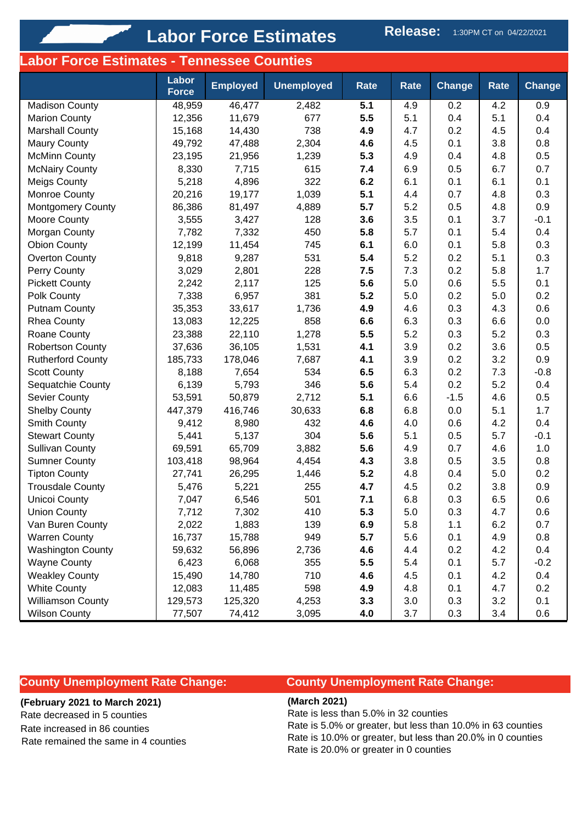# Labor Force Estimates Release: 1:30PM CT on 04/22/2021

## **Labor Force Estimates - Tennessee Counties**

|                          | Labor<br><b>Force</b> | <b>Employed</b> | <b>Unemployed</b> | Rate | Rate | <b>Change</b> | <b>Rate</b> | <b>Change</b> |
|--------------------------|-----------------------|-----------------|-------------------|------|------|---------------|-------------|---------------|
| <b>Madison County</b>    | 48,959                | 46,477          | 2,482             | 5.1  | 4.9  | 0.2           | 4.2         | 0.9           |
| <b>Marion County</b>     | 12,356                | 11,679          | 677               | 5.5  | 5.1  | 0.4           | 5.1         | 0.4           |
| <b>Marshall County</b>   | 15,168                | 14,430          | 738               | 4.9  | 4.7  | 0.2           | 4.5         | 0.4           |
| <b>Maury County</b>      | 49,792                | 47,488          | 2,304             | 4.6  | 4.5  | 0.1           | 3.8         | 0.8           |
| <b>McMinn County</b>     | 23,195                | 21,956          | 1,239             | 5.3  | 4.9  | 0.4           | 4.8         | 0.5           |
| <b>McNairy County</b>    | 8,330                 | 7,715           | 615               | 7.4  | 6.9  | 0.5           | 6.7         | 0.7           |
| <b>Meigs County</b>      | 5,218                 | 4,896           | 322               | 6.2  | 6.1  | 0.1           | 6.1         | 0.1           |
| Monroe County            | 20,216                | 19,177          | 1,039             | 5.1  | 4.4  | 0.7           | 4.8         | 0.3           |
| <b>Montgomery County</b> | 86,386                | 81,497          | 4,889             | 5.7  | 5.2  | 0.5           | 4.8         | 0.9           |
| Moore County             | 3,555                 | 3,427           | 128               | 3.6  | 3.5  | 0.1           | 3.7         | $-0.1$        |
| Morgan County            | 7,782                 | 7,332           | 450               | 5.8  | 5.7  | 0.1           | 5.4         | 0.4           |
| <b>Obion County</b>      | 12,199                | 11,454          | 745               | 6.1  | 6.0  | 0.1           | 5.8         | 0.3           |
| <b>Overton County</b>    | 9,818                 | 9,287           | 531               | 5.4  | 5.2  | 0.2           | 5.1         | 0.3           |
| Perry County             | 3,029                 | 2,801           | 228               | 7.5  | 7.3  | 0.2           | 5.8         | 1.7           |
| <b>Pickett County</b>    | 2,242                 | 2,117           | 125               | 5.6  | 5.0  | 0.6           | 5.5         | 0.1           |
| Polk County              | 7,338                 | 6,957           | 381               | 5.2  | 5.0  | 0.2           | 5.0         | 0.2           |
| <b>Putnam County</b>     | 35,353                | 33,617          | 1,736             | 4.9  | 4.6  | 0.3           | 4.3         | 0.6           |
| <b>Rhea County</b>       | 13,083                | 12,225          | 858               | 6.6  | 6.3  | 0.3           | 6.6         | 0.0           |
| Roane County             | 23,388                | 22,110          | 1,278             | 5.5  | 5.2  | 0.3           | 5.2         | 0.3           |
| <b>Robertson County</b>  | 37,636                | 36,105          | 1,531             | 4.1  | 3.9  | 0.2           | 3.6         | 0.5           |
| <b>Rutherford County</b> | 185,733               | 178,046         | 7,687             | 4.1  | 3.9  | 0.2           | 3.2         | 0.9           |
| <b>Scott County</b>      | 8,188                 | 7,654           | 534               | 6.5  | 6.3  | 0.2           | 7.3         | $-0.8$        |
| Sequatchie County        | 6,139                 | 5,793           | 346               | 5.6  | 5.4  | 0.2           | 5.2         | 0.4           |
| Sevier County            | 53,591                | 50,879          | 2,712             | 5.1  | 6.6  | $-1.5$        | 4.6         | 0.5           |
| <b>Shelby County</b>     | 447,379               | 416,746         | 30,633            | 6.8  | 6.8  | 0.0           | 5.1         | 1.7           |
| Smith County             | 9,412                 | 8,980           | 432               | 4.6  | 4.0  | 0.6           | 4.2         | 0.4           |
| <b>Stewart County</b>    | 5,441                 | 5,137           | 304               | 5.6  | 5.1  | 0.5           | 5.7         | $-0.1$        |
| <b>Sullivan County</b>   | 69,591                | 65,709          | 3,882             | 5.6  | 4.9  | 0.7           | 4.6         | 1.0           |
| <b>Sumner County</b>     | 103,418               | 98,964          | 4,454             | 4.3  | 3.8  | 0.5           | 3.5         | 0.8           |
| <b>Tipton County</b>     | 27,741                | 26,295          | 1,446             | 5.2  | 4.8  | 0.4           | 5.0         | 0.2           |
| <b>Trousdale County</b>  | 5,476                 | 5,221           | 255               | 4.7  | 4.5  | 0.2           | 3.8         | 0.9           |
| <b>Unicoi County</b>     | 7,047                 | 6,546           | 501               | 7.1  | 6.8  | 0.3           | 6.5         | 0.6           |
| Union County             | 7,712                 | 7,302           | 410               | 5.3  | 5.0  | 0.3           | 4.7         | 0.6           |
| Van Buren County         | 2,022                 | 1,883           | 139               | 6.9  | 5.8  | 1.1           | 6.2         | 0.7           |
| <b>Warren County</b>     | 16,737                | 15,788          | 949               | 5.7  | 5.6  | 0.1           | 4.9         | 0.8           |
| <b>Washington County</b> | 59,632                | 56,896          | 2,736             | 4.6  | 4.4  | 0.2           | 4.2         | 0.4           |
| <b>Wayne County</b>      | 6,423                 | 6,068           | 355               | 5.5  | 5.4  | 0.1           | 5.7         | $-0.2$        |
| <b>Weakley County</b>    | 15,490                | 14,780          | 710               | 4.6  | 4.5  | 0.1           | 4.2         | 0.4           |
| <b>White County</b>      | 12,083                | 11,485          | 598               | 4.9  | 4.8  | 0.1           | 4.7         | 0.2           |
| <b>Williamson County</b> | 129,573               | 125,320         | 4,253             | 3.3  | 3.0  | 0.3           | 3.2         | 0.1           |
| <b>Wilson County</b>     | 77,507                | 74,412          | 3,095             | 4.0  | 3.7  | 0.3           | 3.4         | 0.6           |

### **County Unemployment Rate Change:**

#### **(February 2021 to March 2021)**

Rate decreased in 5 counties Rate increased in 86 counties Rate remained the same in 4 counties

## **County Unemployment Rate Change:**

**(March 2021)**

Rate is less than 5.0% in 32 counties

Rate is 5.0% or greater, but less than 10.0% in 63 counties Rate is 10.0% or greater, but less than 20.0% in 0 counties Rate is 20.0% or greater in 0 counties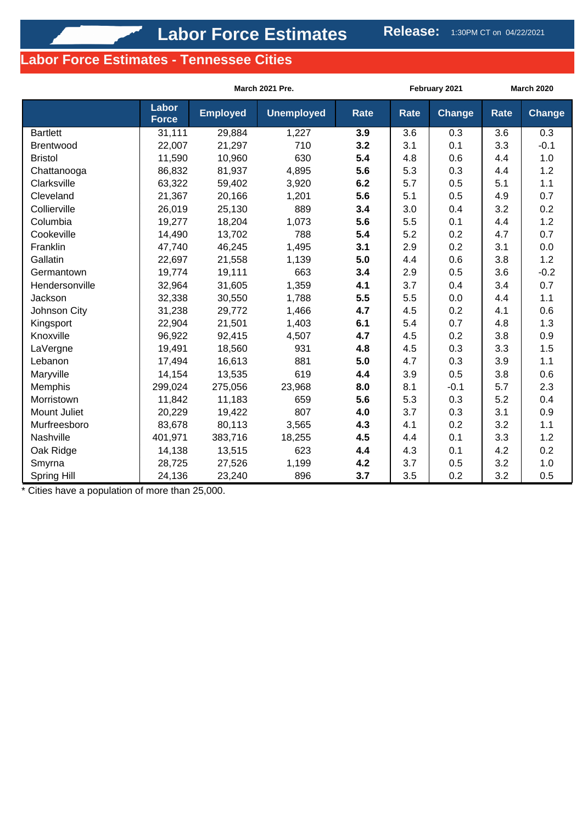## **Labor Force Estimates - Tennessee Cities**

|                 |                       | March 2021 Pre. |                   |             |             | February 2021 | <b>March 2020</b> |               |
|-----------------|-----------------------|-----------------|-------------------|-------------|-------------|---------------|-------------------|---------------|
|                 | Labor<br><b>Force</b> | <b>Employed</b> | <b>Unemployed</b> | <b>Rate</b> | <b>Rate</b> | <b>Change</b> | <b>Rate</b>       | <b>Change</b> |
| <b>Bartlett</b> | 31,111                | 29,884          | 1,227             | 3.9         | 3.6         | 0.3           | 3.6               | 0.3           |
| Brentwood       | 22,007                | 21,297          | 710               | 3.2         | 3.1         | 0.1           | 3.3               | $-0.1$        |
| <b>Bristol</b>  | 11,590                | 10,960          | 630               | 5.4         | 4.8         | 0.6           | 4.4               | 1.0           |
| Chattanooga     | 86,832                | 81,937          | 4,895             | 5.6         | 5.3         | 0.3           | 4.4               | 1.2           |
| Clarksville     | 63,322                | 59,402          | 3,920             | 6.2         | 5.7         | 0.5           | 5.1               | 1.1           |
| Cleveland       | 21,367                | 20,166          | 1,201             | 5.6         | 5.1         | 0.5           | 4.9               | 0.7           |
| Collierville    | 26,019                | 25,130          | 889               | 3.4         | 3.0         | 0.4           | 3.2               | 0.2           |
| Columbia        | 19,277                | 18,204          | 1,073             | 5.6         | 5.5         | 0.1           | 4.4               | 1.2           |
| Cookeville      | 14,490                | 13,702          | 788               | 5.4         | 5.2         | 0.2           | 4.7               | 0.7           |
| Franklin        | 47,740                | 46,245          | 1,495             | 3.1         | 2.9         | 0.2           | 3.1               | 0.0           |
| Gallatin        | 22,697                | 21,558          | 1,139             | 5.0         | 4.4         | 0.6           | 3.8               | 1.2           |
| Germantown      | 19,774                | 19,111          | 663               | 3.4         | 2.9         | 0.5           | 3.6               | $-0.2$        |
| Hendersonville  | 32,964                | 31,605          | 1,359             | 4.1         | 3.7         | 0.4           | 3.4               | 0.7           |
| Jackson         | 32,338                | 30,550          | 1,788             | 5.5         | 5.5         | 0.0           | 4.4               | 1.1           |
| Johnson City    | 31,238                | 29,772          | 1,466             | 4.7         | 4.5         | 0.2           | 4.1               | 0.6           |
| Kingsport       | 22,904                | 21,501          | 1,403             | 6.1         | 5.4         | 0.7           | 4.8               | 1.3           |
| Knoxville       | 96,922                | 92,415          | 4,507             | 4.7         | 4.5         | 0.2           | 3.8               | 0.9           |
| LaVergne        | 19,491                | 18,560          | 931               | 4.8         | 4.5         | 0.3           | 3.3               | 1.5           |
| Lebanon         | 17,494                | 16,613          | 881               | 5.0         | 4.7         | 0.3           | 3.9               | 1.1           |
| Maryville       | 14,154                | 13,535          | 619               | 4.4         | 3.9         | 0.5           | 3.8               | 0.6           |
| Memphis         | 299,024               | 275,056         | 23,968            | 8.0         | 8.1         | $-0.1$        | 5.7               | 2.3           |
| Morristown      | 11,842                | 11,183          | 659               | 5.6         | 5.3         | 0.3           | 5.2               | 0.4           |
| Mount Juliet    | 20,229                | 19,422          | 807               | 4.0         | 3.7         | 0.3           | 3.1               | 0.9           |
| Murfreesboro    | 83,678                | 80,113          | 3,565             | 4.3         | 4.1         | 0.2           | 3.2               | 1.1           |
| Nashville       | 401,971               | 383,716         | 18,255            | 4.5         | 4.4         | 0.1           | 3.3               | 1.2           |
| Oak Ridge       | 14,138                | 13,515          | 623               | 4.4         | 4.3         | 0.1           | 4.2               | 0.2           |
| Smyrna          | 28,725                | 27,526          | 1,199             | 4.2         | 3.7         | 0.5           | 3.2               | 1.0           |
| Spring Hill     | 24,136                | 23,240          | 896               | 3.7         | 3.5         | 0.2           | 3.2               | 0.5           |

\* Cities have a population of more than 25,000.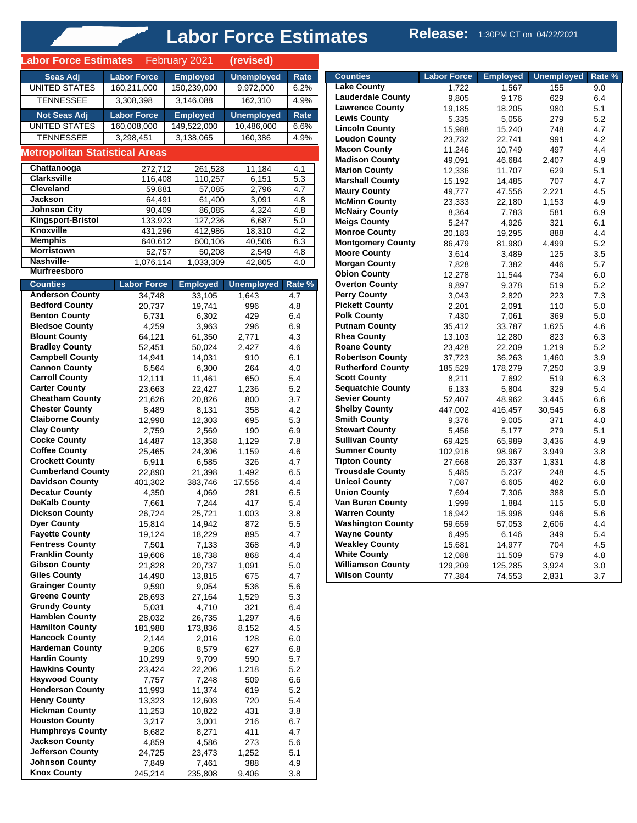# **Labor Force Estimates** Release: 1:30PM CT on 04/22/2021

| <b>Labor Force Estimates</b>                     |                              | February 2021             | (revised)                  |               |
|--------------------------------------------------|------------------------------|---------------------------|----------------------------|---------------|
| Seas Adj                                         | <b>Labor Force</b>           | <b>Employed</b>           | <b>Unemployed</b>          | Rate          |
| <b>UNITED STATES</b>                             | 160,211,000                  | 150,239,000               | 9,972,000                  | 6.2%          |
| <b>TENNESSEE</b>                                 | 3,308,398                    | 3,146,088                 | 162,310                    | 4.9%          |
| <b>Not Seas Adj</b>                              | <b>Labor Force</b>           | <b>Employed</b>           | <b>Unemployed</b>          | Rate          |
| <b>UNITED STATES</b>                             | 160,008,000                  | 149,522,000               | 10,486,000                 | 6.6%          |
| <b>TENNESSEE</b>                                 | 3,298,451                    | 3,138,065                 | 160,386                    | 4.9%          |
| <b>Metropolitan Statistical Areas</b>            |                              |                           |                            |               |
| Chattanooga                                      | 272,712                      | 261,528                   | 11,184                     | 4.1           |
| <b>Clarksville</b><br><b>Cleveland</b>           | 116,408                      | 110,257                   | 6,151                      | 5.3           |
| <b>Jackson</b>                                   | 59,881<br>64,491             | 57,085<br>61,400          | 2,796<br>3,091             | 4.7<br>4.8    |
| <b>Johnson City</b>                              | 90,409                       | 86,085                    | 4,324                      | 4.8           |
| Kingsport-Bristol                                | 133,923                      | 127,236                   | 6,687                      | 5.0           |
| Knoxville<br><b>Memphis</b>                      | 431,296<br>640,612           | 412,986                   | 18,310<br>40,506           | 4.2<br>6.3    |
| <b>Morristown</b>                                | 52,757                       | 600,106<br>50,208         | 2,549                      | 4.8           |
| Nashville-                                       | 1,076,114                    | 1,033,309                 | 42,805                     | 4.0           |
| <b>Murfreesboro</b>                              |                              |                           |                            |               |
| <b>Counties</b><br><b>Anderson County</b>        | <b>Labor Force</b><br>34,748 | <b>Employed</b><br>33,105 | <b>Unemployed</b><br>1,643 | Rate %<br>4.7 |
| <b>Bedford County</b>                            | 20,737                       | 19,741                    | 996                        | 4.8           |
| <b>Benton County</b>                             | 6,731                        | 6,302                     | 429                        | 6.4           |
| <b>Bledsoe County</b>                            | 4,259                        | 3,963                     | 296                        | 6.9           |
| <b>Blount County</b><br><b>Bradley County</b>    | 64,121<br>52,451             | 61,350<br>50,024          | 2,771<br>2,427             | 4.3<br>4.6    |
| <b>Campbell County</b>                           | 14,941                       | 14,031                    | 910                        | 6.1           |
| <b>Cannon County</b>                             | 6,564                        | 6,300                     | 264                        | 4.0           |
| <b>Carroll County</b>                            | 12,111                       | 11,461                    | 650                        | 5.4           |
| <b>Carter County</b><br><b>Cheatham County</b>   | 23,663<br>21,626             | 22,427<br>20,826          | 1,236<br>800               | 5.2<br>3.7    |
| <b>Chester County</b>                            | 8,489                        | 8,131                     | 358                        | 4.2           |
| <b>Claiborne County</b>                          | 12,998                       | 12,303                    | 695                        | 5.3           |
| <b>Clay County</b><br><b>Cocke County</b>        | 2,759                        | 2,569                     | 190                        | 6.9           |
| <b>Coffee County</b>                             | 14,487<br>25,465             | 13,358<br>24,306          | 1,129<br>1,159             | 7.8<br>4.6    |
| <b>Crockett County</b>                           | 6,911                        | 6,585                     | 326                        | 4.7           |
| <b>Cumberland County</b>                         | 22,890                       | 21,398                    | 1,492                      | 6.5           |
| <b>Davidson County</b><br><b>Decatur County</b>  | 401,302<br>4,350             | 383,746<br>4,069          | 17,556<br>281              | 4.4<br>6.5    |
| <b>DeKalb County</b>                             | 7,661                        | 7,244                     | 417                        | 5.4           |
| <b>Dickson County</b>                            | 26,724                       | 25,721                    | 1,003                      | 3.8           |
| Dyer County<br><b>Fayette County</b>             | 15,814                       | 14,942                    | 872                        | 5.5           |
| <b>Fentress County</b>                           | 19,124<br>7,501              | 18,229<br>7,133           | 895<br>368                 | 4.7<br>4.9    |
| <b>Franklin County</b>                           | 19,606                       | 18,738                    | 868                        | 4.4           |
| <b>Gibson County</b>                             | 21,828                       | 20,737                    | 1,091                      | 5.0           |
| <b>Giles County</b><br><b>Grainger County</b>    | 14,490<br>9,590              | 13,815<br>9,054           | 675<br>536                 | 4.7<br>5.6    |
| <b>Greene County</b>                             | 28,693                       | 27,164                    | 1,529                      | 5.3           |
| <b>Grundy County</b>                             | 5,031                        | 4,710                     | 321                        | 6.4           |
| <b>Hamblen County</b><br><b>Hamilton County</b>  | 28,032                       | 26,735                    | 1,297                      | 4.6<br>4.5    |
| <b>Hancock County</b>                            | 181,988<br>2,144             | 173,836<br>2,016          | 8,152<br>128               | 6.0           |
| <b>Hardeman County</b>                           | 9,206                        | 8,579                     | 627                        | 6.8           |
| <b>Hardin County</b>                             | 10,299                       | 9,709                     | 590                        | 5.7           |
| <b>Hawkins County</b><br><b>Haywood County</b>   | 23,424<br>7,757              | 22,206<br>7,248           | 1,218<br>509               | 5.2<br>6.6    |
| <b>Henderson County</b>                          | 11,993                       | 11,374                    | 619                        | 5.2           |
| <b>Henry County</b>                              | 13,323                       | 12,603                    | 720                        | 5.4           |
| <b>Hickman County</b>                            | 11,253                       | 10,822                    | 431                        | 3.8           |
| <b>Houston County</b><br><b>Humphreys County</b> | 3,217<br>8,682               | 3,001<br>8,271            | 216<br>411                 | 6.7<br>4.7    |
| <b>Jackson County</b>                            | 4,859                        | 4,586                     | 273                        | 5.6           |
| <b>Jefferson County</b>                          | 24,725                       | 23,473                    | 1,252                      | 5.1           |
| <b>Johnson County</b><br><b>Knox County</b>      | 7,849<br>245,214             | 7,461<br>235,808          | 388<br>9,406               | 4.9<br>3.8    |
|                                                  |                              |                           |                            |               |

**Alberta Strategic** 

| <b>Counties</b>          | <b>Labor Force</b> | <b>Employed</b> | <b>Unemployed</b> | Rate % |
|--------------------------|--------------------|-----------------|-------------------|--------|
| <b>Lake County</b>       | 1.722              | 1,567           | 155               | 9.0    |
| <b>Lauderdale County</b> | 9,805              | 9,176           | 629               | 6.4    |
| <b>Lawrence County</b>   | 19,185             | 18,205          | 980               | 5.1    |
| <b>Lewis County</b>      | 5,335              | 5,056           | 279               | 5.2    |
| <b>Lincoln County</b>    | 15,988             | 15,240          | 748               | 4.7    |
| <b>Loudon County</b>     | 23,732             | 22,741          | 991               | 4.2    |
| <b>Macon County</b>      | 11,246             | 10,749          | 497               | 4.4    |
| <b>Madison County</b>    | 49,091             | 46,684          | 2,407             | 4.9    |
| <b>Marion County</b>     | 12,336             | 11,707          | 629               | 5.1    |
| <b>Marshall County</b>   | 15,192             | 14,485          | 707               | 4.7    |
| <b>Maury County</b>      | 49,777             | 47,556          | 2,221             | 4.5    |
| <b>McMinn County</b>     | 23,333             | 22,180          | 1,153             | 4.9    |
| <b>McNairy County</b>    | 8,364              | 7,783           | 581               | 6.9    |
| <b>Meigs County</b>      | 5,247              | 4,926           | 321               | 6.1    |
| <b>Monroe County</b>     | 20,183             | 19,295          | 888               | 4.4    |
| <b>Montgomery County</b> | 86,479             | 81,980          | 4.499             | 5.2    |
| <b>Moore County</b>      | 3,614              | 3,489           | 125               | 3.5    |
| <b>Morgan County</b>     | 7,828              | 7,382           | 446               | 5.7    |
| <b>Obion County</b>      | 12,278             | 11,544          | 734               | 6.0    |
| <b>Overton County</b>    | 9,897              | 9,378           | 519               | 5.2    |
| <b>Perry County</b>      | 3,043              | 2,820           | 223               | 7.3    |
| <b>Pickett County</b>    | 2,201              | 2,091           | 110               | 5.0    |
| <b>Polk County</b>       | 7,430              | 7,061           | 369               | 5.0    |
| <b>Putnam County</b>     | 35,412             | 33,787          | 1,625             | 4.6    |
| <b>Rhea County</b>       | 13,103             | 12,280          | 823               | 6.3    |
| <b>Roane County</b>      | 23,428             | 22,209          | 1.219             | 5.2    |
| <b>Robertson County</b>  | 37,723             | 36,263          | 1,460             | 3.9    |
| <b>Rutherford County</b> | 185,529            | 178,279         | 7,250             | 3.9    |
| <b>Scott County</b>      | 8,211              | 7,692           | 519               | 6.3    |
| <b>Sequatchie County</b> | 6,133              | 5,804           | 329               | 5.4    |
| <b>Sevier County</b>     | 52,407             | 48,962          | 3.445             | 6.6    |
| <b>Shelby County</b>     | 447,002            | 416,457         | 30,545            | 6.8    |
| <b>Smith County</b>      | 9,376              | 9,005           | 371               | 4.0    |
| <b>Stewart County</b>    | 5,456              | 5,177           | 279               | 5.1    |
| <b>Sullivan County</b>   | 69,425             | 65,989          | 3,436             | 4.9    |
| <b>Sumner County</b>     | 102,916            | 98,967          | 3,949             | 3.8    |
| <b>Tipton County</b>     | 27,668             | 26,337          | 1,331             | 4.8    |
| <b>Trousdale County</b>  | 5,485              | 5,237           | 248               | 4.5    |
| <b>Unicoi County</b>     | 7,087              | 6,605           | 482               | 6.8    |
| <b>Union County</b>      | 7,694              | 7,306           | 388               | 5.0    |
| <b>Van Buren County</b>  | 1,999              | 1,884           | 115               | 5.8    |
| <b>Warren County</b>     | 16,942             | 15,996          | 946               | 5.6    |
| <b>Washington County</b> | 59,659             | 57,053          | 2,606             | 4.4    |
| <b>Wayne County</b>      | 6,495              | 6,146           | 349               | 5.4    |
| <b>Weakley County</b>    | 15,681             | 14,977          | 704               | 4.5    |
| <b>White County</b>      | 12,088             | 11,509          | 579               | 4.8    |
| <b>Williamson County</b> | 129,209            | 125,285         | 3,924             | 3.0    |
| <b>Wilson County</b>     | 77,384             | 74,553          | 2,831             | 3.7    |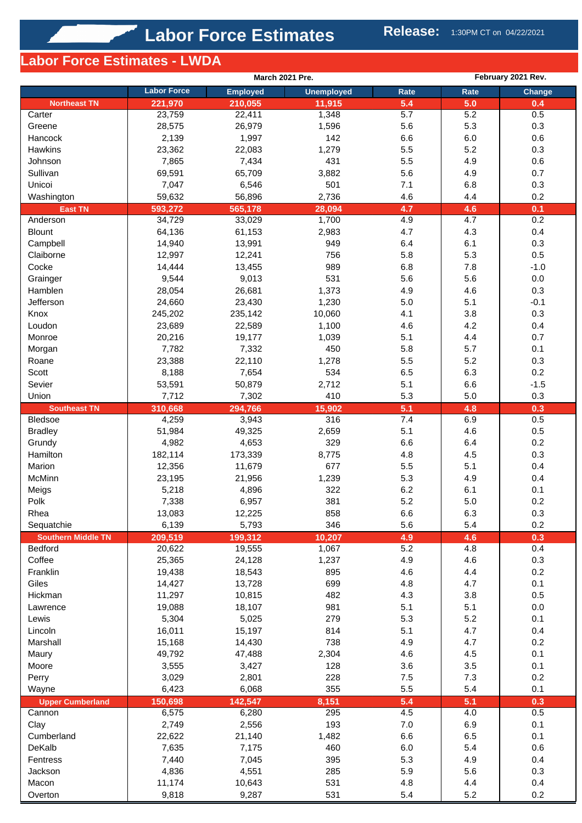# **Labor Force Estimates - LWDA**

|                           |                    | March 2021 Pre. |                   |         |         | February 2021 Rev. |  |  |
|---------------------------|--------------------|-----------------|-------------------|---------|---------|--------------------|--|--|
|                           | <b>Labor Force</b> | <b>Employed</b> | <b>Unemployed</b> | Rate    | Rate    | Change             |  |  |
| <b>Northeast TN</b>       | 221,970            | 210,055         | 11,915            | 5.4     | 5.0     | 0.4                |  |  |
| Carter                    | 23,759             | 22,411          | 1,348             | 5.7     | 5.2     | 0.5                |  |  |
| Greene                    | 28,575             | 26,979          | 1,596             | 5.6     | 5.3     | 0.3                |  |  |
| Hancock                   | 2,139              | 1,997           | 142               | 6.6     | 6.0     | 0.6                |  |  |
| Hawkins                   | 23,362             | 22,083          | 1,279             | 5.5     | 5.2     | 0.3                |  |  |
| Johnson                   | 7,865              | 7,434           | 431               | 5.5     | 4.9     | 0.6                |  |  |
| Sullivan                  | 69,591             | 65,709          | 3,882             | 5.6     | 4.9     | 0.7                |  |  |
| Unicoi                    | 7,047              | 6,546           | 501               | 7.1     | 6.8     | 0.3                |  |  |
| Washington                | 59,632             | 56,896          | 2,736             | 4.6     | 4.4     | 0.2                |  |  |
| <b>East TN</b>            | 593,272            | 565,178         | 28,094            | 4.7     | 4.6     | 0.1                |  |  |
| Anderson                  | 34,729             | 33,029          | 1,700             | 4.9     | 4.7     | 0.2                |  |  |
| <b>Blount</b>             | 64,136             | 61,153          | 2,983             | 4.7     | 4.3     | 0.4                |  |  |
| Campbell                  | 14,940             | 13,991          | 949               | 6.4     | 6.1     | 0.3                |  |  |
| Claiborne                 | 12,997             | 12,241          | 756               | 5.8     | 5.3     | 0.5                |  |  |
| Cocke                     | 14,444             | 13,455          | 989               | 6.8     | 7.8     | $-1.0$             |  |  |
| Grainger                  | 9,544              | 9,013           | 531               | 5.6     | 5.6     | 0.0                |  |  |
| Hamblen                   | 28,054             | 26,681          | 1,373             | 4.9     | 4.6     | 0.3                |  |  |
| Jefferson                 | 24,660             | 23,430          | 1,230             | 5.0     | 5.1     | $-0.1$             |  |  |
| Knox                      | 245,202            | 235,142         | 10,060            | 4.1     | 3.8     | 0.3                |  |  |
| Loudon                    | 23,689             | 22,589          | 1,100             | 4.6     | 4.2     | 0.4                |  |  |
| Monroe                    | 20,216             | 19,177          | 1,039             | 5.1     | 4.4     | 0.7                |  |  |
| Morgan                    | 7,782              | 7,332           | 450               | 5.8     | 5.7     | 0.1                |  |  |
| Roane                     | 23,388             | 22,110          | 1,278             | 5.5     | 5.2     | 0.3                |  |  |
| Scott                     | 8,188              | 7,654           | 534               | 6.5     | 6.3     | 0.2                |  |  |
| Sevier                    | 53,591             | 50,879          | 2,712             | 5.1     | 6.6     | $-1.5$             |  |  |
| Union                     | 7,712              | 7,302           | 410               | 5.3     | 5.0     | 0.3                |  |  |
| <b>Southeast TN</b>       | 310,668            | 294,766         | 15,902            | 5.1     | 4.8     | 0.3                |  |  |
| <b>Bledsoe</b>            | 4,259              | 3,943           | 316               | 7.4     | 6.9     | 0.5                |  |  |
| <b>Bradley</b>            | 51,984             | 49,325          | 2,659             | 5.1     | 4.6     | 0.5                |  |  |
| Grundy                    | 4,982              | 4,653           | 329               | 6.6     | 6.4     | 0.2                |  |  |
| Hamilton                  | 182,114            | 173,339         | 8,775             | 4.8     | 4.5     | 0.3                |  |  |
| Marion                    | 12,356             | 11,679          | 677               | 5.5     | 5.1     | 0.4                |  |  |
| McMinn                    | 23,195             | 21,956          | 1,239             | 5.3     | 4.9     | 0.4                |  |  |
| Meigs                     | 5,218              | 4,896           | 322               | 6.2     | 6.1     | 0.1                |  |  |
| Polk                      | 7,338              | 6,957           | 381               | 5.2     | $5.0\,$ | 0.2                |  |  |
| Rhea                      | 13,083             | 12,225          | 858               | 6.6     | 6.3     | 0.3                |  |  |
| Sequatchie                | 6,139              | 5,793           | 346               | 5.6     | 5.4     | 0.2                |  |  |
| <b>Southern Middle TN</b> | 209,519            | 199,312         | 10,207            | 4.9     | 4.6     | 0.3                |  |  |
| <b>Bedford</b>            | 20,622             | 19,555          | 1,067             | 5.2     | 4.8     | 0.4                |  |  |
| Coffee                    | 25,365             | 24,128          | 1,237             | 4.9     | 4.6     | 0.3                |  |  |
| Franklin                  | 19,438             | 18,543          | 895               | 4.6     | 4.4     | 0.2                |  |  |
| Giles                     | 14,427             | 13,728          | 699               | 4.8     | 4.7     | 0.1                |  |  |
| Hickman                   | 11,297             | 10,815          | 482               | 4.3     | 3.8     | 0.5                |  |  |
| Lawrence                  | 19,088             | 18,107          | 981               | 5.1     | 5.1     | 0.0                |  |  |
| Lewis                     | 5,304              | 5,025           | 279               | 5.3     | 5.2     | 0.1                |  |  |
| Lincoln                   | 16,011             | 15,197          | 814               | 5.1     | 4.7     | 0.4                |  |  |
| Marshall                  | 15,168             | 14,430          | 738               | 4.9     | 4.7     | 0.2                |  |  |
|                           | 49,792             |                 |                   | 4.6     | 4.5     | 0.1                |  |  |
| Maury                     |                    | 47,488          | 2,304             |         |         |                    |  |  |
| Moore                     | 3,555              | 3,427           | 128               | 3.6     | 3.5     | 0.1                |  |  |
| Perry                     | 3,029              | 2,801           | 228               | $7.5$   | 7.3     | 0.2                |  |  |
| Wayne                     | 6,423              | 6,068           | 355               | 5.5     | 5.4     | 0.1                |  |  |
| <b>Upper Cumberland</b>   | 150,698            | 142,547         | 8,151             | 5.4     | 5.1     | 0.3                |  |  |
| Cannon                    | 6,575              | 6,280           | 295               | 4.5     | 4.0     | 0.5                |  |  |
| Clay                      | 2,749              | 2,556           | 193               | $7.0\,$ | 6.9     | 0.1                |  |  |
| Cumberland                | 22,622             | 21,140          | 1,482             | 6.6     | 6.5     | 0.1                |  |  |
| DeKalb                    | 7,635              | 7,175           | 460               | 6.0     | 5.4     | 0.6                |  |  |
| Fentress                  | 7,440              | 7,045           | 395               | 5.3     | 4.9     | 0.4                |  |  |
| Jackson                   | 4,836              | 4,551           | 285               | 5.9     | 5.6     | 0.3                |  |  |
| Macon                     | 11,174             | 10,643          | 531               | 4.8     | 4.4     | 0.4                |  |  |
| Overton                   | 9,818              | 9,287           | 531               | 5.4     | 5.2     | 0.2                |  |  |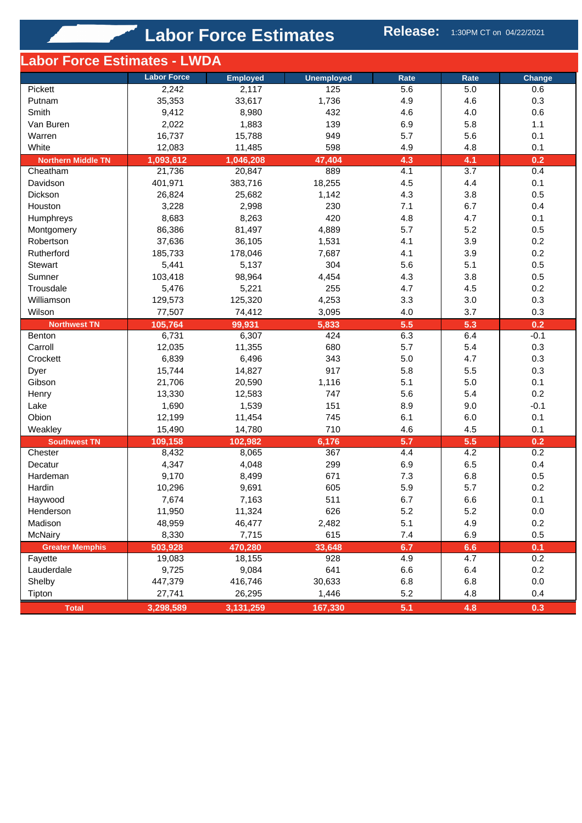**Labor Force Estimates Release:** 1:30PM CT on 04/22/2021

| -abor Force Estimates - LWDA |                    |                 |                   |            |            |               |
|------------------------------|--------------------|-----------------|-------------------|------------|------------|---------------|
|                              | <b>Labor Force</b> | <b>Employed</b> | <b>Unemployed</b> | Rate       | Rate       | Change        |
| Pickett                      | 2,242              | 2,117           | 125               | 5.6        | 5.0        | 0.6           |
| Putnam                       | 35,353             | 33,617          | 1,736             | 4.9        | 4.6        | 0.3           |
| Smith                        | 9,412              | 8,980           | 432               | 4.6        | 4.0        | 0.6           |
| Van Buren                    | 2,022              | 1,883           | 139               | 6.9        | 5.8        | 1.1           |
| Warren                       | 16,737             | 15,788          | 949               | 5.7        | 5.6        | 0.1           |
| White                        | 12,083             | 11,485          | 598               | 4.9        | 4.8        | 0.1           |
| <b>Northern Middle TN</b>    | 1,093,612          | 1,046,208       | 47,404            | 4.3        | 4.1        | 0.2           |
| Cheatham                     | 21,736             | 20,847          | 889               | 4.1        | 3.7        | 0.4           |
| Davidson                     | 401,971            | 383,716         | 18,255            | 4.5        | 4.4        | 0.1           |
| Dickson                      | 26,824             | 25,682          | 1,142             | 4.3        | 3.8        | 0.5           |
| Houston                      | 3,228              | 2,998           | 230               | 7.1        | 6.7        | 0.4           |
| Humphreys                    | 8,683              | 8,263           | 420               | 4.8        | 4.7        | 0.1           |
| Montgomery                   | 86,386             | 81,497          | 4,889             | 5.7        | 5.2        | 0.5           |
| Robertson                    | 37,636             | 36,105          | 1,531             | 4.1        | 3.9        | 0.2           |
| Rutherford                   | 185,733            | 178,046         | 7,687             | 4.1        | 3.9        | 0.2           |
| Stewart                      | 5,441              | 5,137           | 304               | 5.6        | 5.1        | 0.5           |
| Sumner                       | 103,418            | 98,964          | 4,454             | 4.3        | 3.8        | 0.5           |
|                              |                    |                 |                   |            |            | 0.2           |
| Trousdale                    | 5,476              | 5,221           | 255               | 4.7        | 4.5        |               |
| Williamson                   | 129,573            | 125,320         | 4,253             | 3.3        | 3.0        | 0.3           |
| Wilson                       | 77,507             | 74,412          | 3,095             | 4.0        | 3.7        | 0.3           |
| <b>Northwest TN</b>          | 105,764<br>6,731   | 99,931          | 5,833<br>424      | 5.5<br>6.3 | 5.3<br>6.4 | 0.2<br>$-0.1$ |
| Benton                       |                    | 6,307           |                   |            |            |               |
| Carroll                      | 12,035             | 11,355          | 680               | 5.7        | 5.4        | 0.3           |
| Crockett                     | 6,839              | 6,496           | 343               | 5.0        | 4.7        | 0.3           |
| Dyer                         | 15,744             | 14,827          | 917               | 5.8        | 5.5        | 0.3           |
| Gibson                       | 21,706             | 20,590          | 1,116             | 5.1        | 5.0        | 0.1           |
| Henry                        | 13,330             | 12,583          | 747               | 5.6        | 5.4        | 0.2           |
| Lake                         | 1,690              | 1,539           | 151               | 8.9        | 9.0        | $-0.1$        |
| Obion                        | 12,199             | 11,454          | 745               | 6.1        | 6.0        | 0.1           |
| Weakley                      | 15,490             | 14,780          | 710               | 4.6        | 4.5        | 0.1           |
| <b>Southwest TN</b>          | 109,158            | 102,982         | 6,176             | 5.7        | 5.5        | 0.2           |
| Chester                      | 8,432              | 8,065           | 367               | 4.4        | 4.2        | 0.2           |
| Decatur                      | 4,347              | 4,048           | 299               | 6.9        | 6.5        | 0.4           |
| Hardeman                     | 9,170              | 8,499           | 671               | 7.3        | 6.8        | 0.5           |
| Hardin                       | 10,296             | 9,691           | 605               | 5.9        | 5.7        | 0.2           |
| Haywood                      | 7,674              | 7,163           | 511               | 6.7        | 6.6        | 0.1           |
| Henderson                    | 11,950             | 11,324          | 626               | 5.2        | 5.2        | 0.0           |
| Madison                      | 48,959             | 46,477          | 2,482             | 5.1        | 4.9        | 0.2           |
| <b>McNairy</b>               | 8,330              | 7,715           | 615               | 7.4        | 6.9        | 0.5           |
| <b>Greater Memphis</b>       | 503,928            | 470,280         | 33,648            | 6.7        | 6.6        | 0.1           |
| Fayette                      | 19,083             | 18,155          | 928               | 4.9        | 4.7        | 0.2           |
| Lauderdale                   | 9,725              | 9,084           | 641               | 6.6        | 6.4        | 0.2           |
| Shelby                       | 447,379            | 416,746         | 30,633            | 6.8        | 6.8        | $0.0\,$       |
| Tipton                       | 27,741             | 26,295          | 1,446             | 5.2        | 4.8        | 0.4           |
| <b>Total</b>                 | 3,298,589          | 3,131,259       | 167,330           | 5.1        | 4.8        | 0.3           |